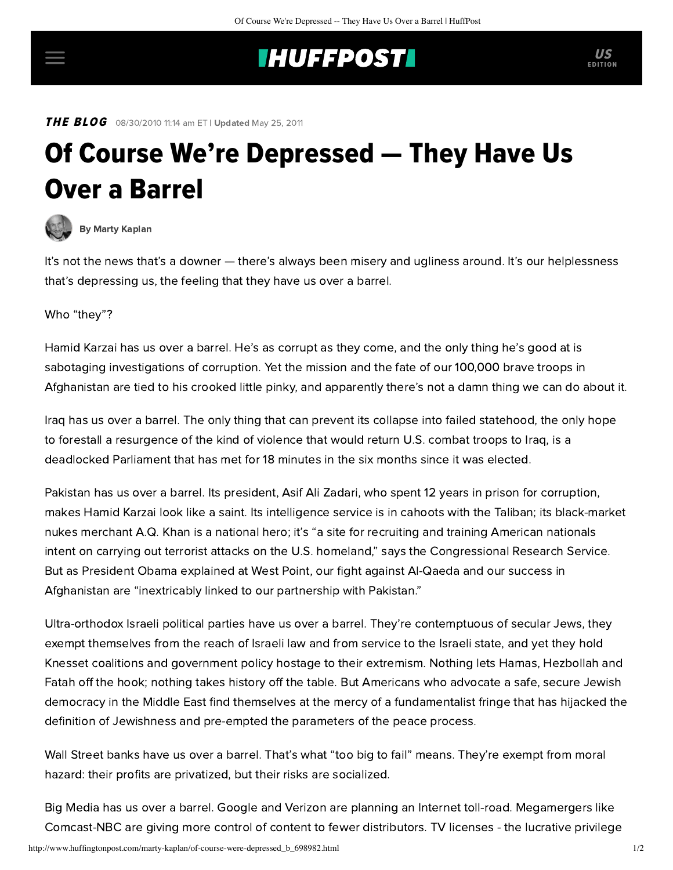## **INUFFPOST**

**THE BLOG** 08/30/2010 11:14 am ET | Updated May 25, 2011

## Of Course We're Depressed — They Have Us Over a Barrel



[By Marty Kaplan](http://www.huffingtonpost.com/author/marty-kaplan)

It's not the news that's a downer — there's always been misery and ugliness around. It's our helplessness that's depressing us, the feeling that they have us over a barrel.

Who "they"?

Hamid Karzai has us over a barrel. He's as corrupt as they come, and the only thing he's good at is [sabotaging investigations](http://www.nytimes.com/2010/08/29/world/asia/29afghan.html) of corruption. Yet the mission and the fate of our 100,000 brave troops in Afghanistan are tied to his crooked little pinky, and apparently there's not a damn thing we can do about it.

Iraq has us over a barrel. The only thing that can prevent its collapse into failed statehood, the only hope to forestall a resurgence of the kind of violence that would return U.S. combat troops to Iraq, is a deadlocked Parliament that has met for 18 minutes in the six months since it was elected.

Pakistan has us over a barrel. Its president, Asif Ali Zadari, who spent 12 years in prison for corruption, makes Hamid Karzai look like a saint. Its intelligence service is in cahoots with the Taliban; its black-market nukes merchant A.Q. Khan is a national hero; it's "a site for recruiting and training American nationals intent on carrying out terrorist attacks on the U.S. homeland," [says](http://www.businessweek.com/news/2010-07-19/clinton-builds-pakistan-ties-key-to-afghanistan-fight.html) the Congressional Research Service. But as President Obama [explained](http://www.whitehouse.gov/blog/2009/12/01/new-way-forward-presidents-address) at West Point, our fight against Al-Qaeda and our success in Afghanistan are "inextricably linked to our partnership with Pakistan."

Ultra-orthodox Israeli political parties have us over a barrel. They're contemptuous of secular Jews, they exempt themselves from the reach of Israeli law and from service to the Israeli state, and yet they hold Knesset coalitions and government policy hostage to their extremism. Nothing lets Hamas, Hezbollah and Fatah off the hook; nothing takes history off the table. But Americans who advocate a safe, secure Jewish democracy in the Middle East find themselves at the mercy of a fundamentalist fringe that has hijacked the definition of Jewishness and pre-empted the parameters of the peace process.

Wall Street banks have us over a barrel. That's what "too big to fail" means. They're exempt from moral hazard: their profits are privatized, but their risks are socialized.

Big Media has us over a barrel. Google and Verizon are planning an Internet toll-road. Megamergers like Comcast-NBC are giving more control of content to fewer distributors. TV licenses - the lucrative privilege